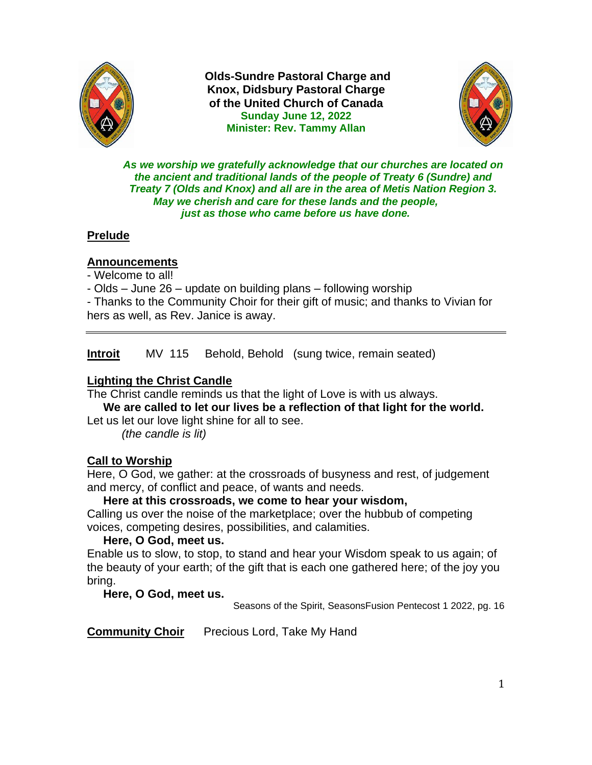

**Olds-Sundre Pastoral Charge and Knox, Didsbury Pastoral Charge of the United Church of Canada Sunday June 12, 2022 Minister: Rev. Tammy Allan**



*As we worship we gratefully acknowledge that our churches are located on the ancient and traditional lands of the people of Treaty 6 (Sundre) and Treaty 7 (Olds and Knox) and all are in the area of Metis Nation Region 3. May we cherish and care for these lands and the people, just as those who came before us have done.*

## **Prelude**

### **Announcements**

- Welcome to all!

- Olds – June 26 – update on building plans – following worship

- Thanks to the Community Choir for their gift of music; and thanks to Vivian for hers as well, as Rev. Janice is away.

**Introit** MV 115 Behold, Behold (sung twice, remain seated)

## **Lighting the Christ Candle**

The Christ candle reminds us that the light of Love is with us always.

 **We are called to let our lives be a reflection of that light for the world.**  Let us let our love light shine for all to see.

*(the candle is lit)*

## **Call to Worship**

Here, O God, we gather: at the crossroads of busyness and rest, of judgement and mercy, of conflict and peace, of wants and needs.

#### **Here at this crossroads, we come to hear your wisdom,**

Calling us over the noise of the marketplace; over the hubbub of competing voices, competing desires, possibilities, and calamities.

#### **Here, O God, meet us.**

Enable us to slow, to stop, to stand and hear your Wisdom speak to us again; of the beauty of your earth; of the gift that is each one gathered here; of the joy you bring.

#### **Here, O God, meet us.**

Seasons of the Spirit, SeasonsFusion Pentecost 1 2022, pg. 16

**Community Choir** Precious Lord, Take My Hand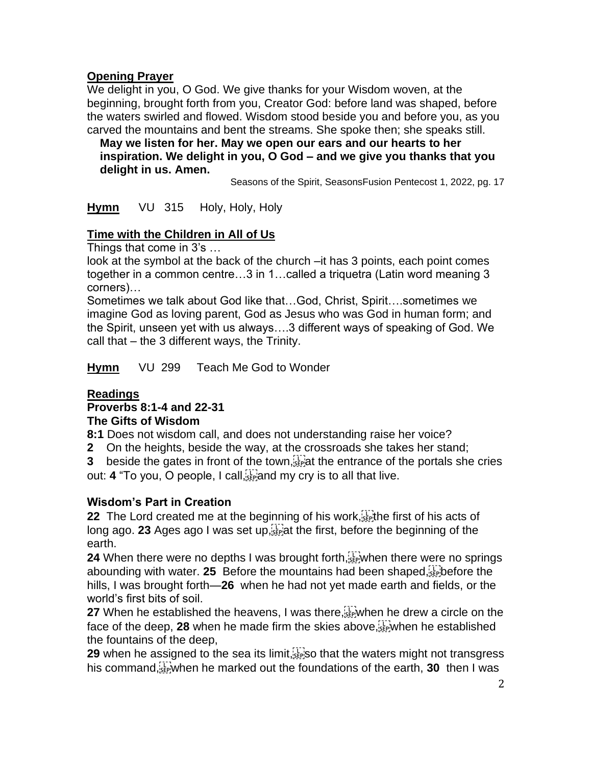## **Opening Prayer**

We delight in you, O God. We give thanks for your Wisdom woven, at the beginning, brought forth from you, Creator God: before land was shaped, before the waters swirled and flowed. Wisdom stood beside you and before you, as you carved the mountains and bent the streams. She spoke then; she speaks still.

 **May we listen for her. May we open our ears and our hearts to her inspiration. We delight in you, O God – and we give you thanks that you delight in us. Amen.**

Seasons of the Spirit, SeasonsFusion Pentecost 1, 2022, pg. 17

**Hymn** VU 315 Holy, Holy, Holy

## **Time with the Children in All of Us**

Things that come in 3's …

look at the symbol at the back of the church –it has 3 points, each point comes together in a common centre…3 in 1…called a triquetra (Latin word meaning 3 corners)…

Sometimes we talk about God like that…God, Christ, Spirit….sometimes we imagine God as loving parent, God as Jesus who was God in human form; and the Spirit, unseen yet with us always….3 different ways of speaking of God. We call that – the 3 different ways, the Trinity.

**Hymn** VU 299 Teach Me God to Wonder

## **Readings**

## **Proverbs 8:1-4 and 22-31**

#### **The Gifts of Wisdom**

**8:1** Does not wisdom call, and does not understanding raise her voice?

**2** On the heights, beside the way, at the crossroads she takes her stand;

**3** beside the gates in front of the town,  $\frac{1}{2}$  the entrance of the portals she cries out: **4** "To you, O people, I call, and my cry is to all that live.

## **Wisdom's Part in Creation**

**22** The Lord created me at the beginning of his work,  $\frac{1}{2}$  the first of his acts of long ago. **23** Ages ago I was set up,  $\sum_{i=1}^{n}$  at the first, before the beginning of the earth.

**24** When there were no depths I was brought forth,  $\sum_{s}^{T}$  when there were no springs abounding with water. **25** Before the mountains had been shaped, before the hills, I was brought forth—**26** when he had not yet made earth and fields, or the world's first bits of soil.

**27** When he established the heavens, I was there,  $\sum_{i=1}^{n}$  when he drew a circle on the face of the deep,  $28$  when he made firm the skies above,  $\frac{17}{156}$  when he established the fountains of the deep,

**29** when he assigned to the sea its limit,  $s_{\text{ee}}$  so that the waters might not transgress his command, **E** when he marked out the foundations of the earth, **30** then I was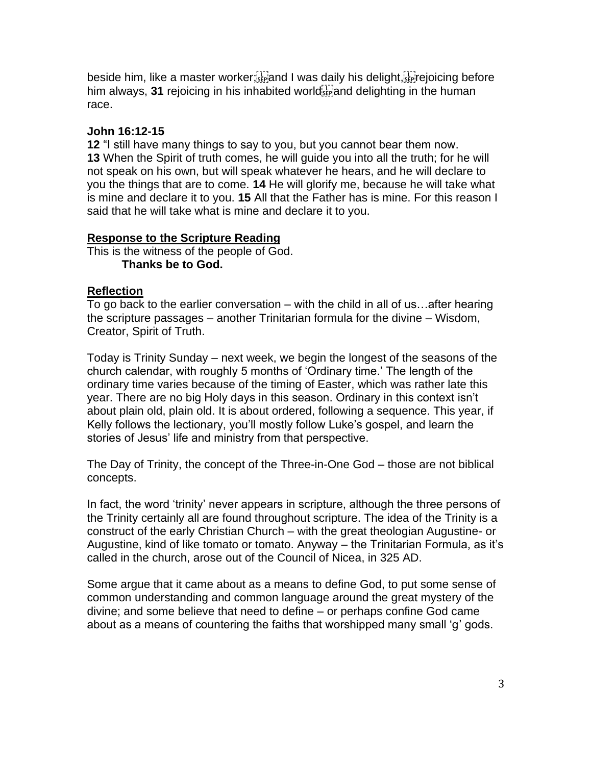beside him, like a master worker <sup>[17</sup>] and I was daily his delight, **Figure** poicing before him always,  $31$  rejoicing in his inhabited world  $\frac{1}{100}$  and delighting in the human race.

#### **John 16:12-15**

**12** "I still have many things to say to you, but you cannot bear them now. **13** When the Spirit of truth comes, he will guide you into all the truth; for he will not speak on his own, but will speak whatever he hears, and he will declare to you the things that are to come. **14** He will glorify me, because he will take what is mine and declare it to you. **15** All that the Father has is mine. For this reason I said that he will take what is mine and declare it to you.

### **Response to the Scripture Reading**

This is the witness of the people of God. **Thanks be to God.** 

### **Reflection**

To go back to the earlier conversation – with the child in all of us…after hearing the scripture passages – another Trinitarian formula for the divine – Wisdom, Creator, Spirit of Truth.

Today is Trinity Sunday – next week, we begin the longest of the seasons of the church calendar, with roughly 5 months of 'Ordinary time.' The length of the ordinary time varies because of the timing of Easter, which was rather late this year. There are no big Holy days in this season. Ordinary in this context isn't about plain old, plain old. It is about ordered, following a sequence. This year, if Kelly follows the lectionary, you'll mostly follow Luke's gospel, and learn the stories of Jesus' life and ministry from that perspective.

The Day of Trinity, the concept of the Three-in-One God – those are not biblical concepts.

In fact, the word 'trinity' never appears in scripture, although the three persons of the Trinity certainly all are found throughout scripture. The idea of the Trinity is a construct of the early Christian Church – with the great theologian Augustine- or Augustine, kind of like tomato or tomato. Anyway – the Trinitarian Formula, as it's called in the church, arose out of the Council of Nicea, in 325 AD.

Some argue that it came about as a means to define God, to put some sense of common understanding and common language around the great mystery of the divine; and some believe that need to define – or perhaps confine God came about as a means of countering the faiths that worshipped many small 'g' gods.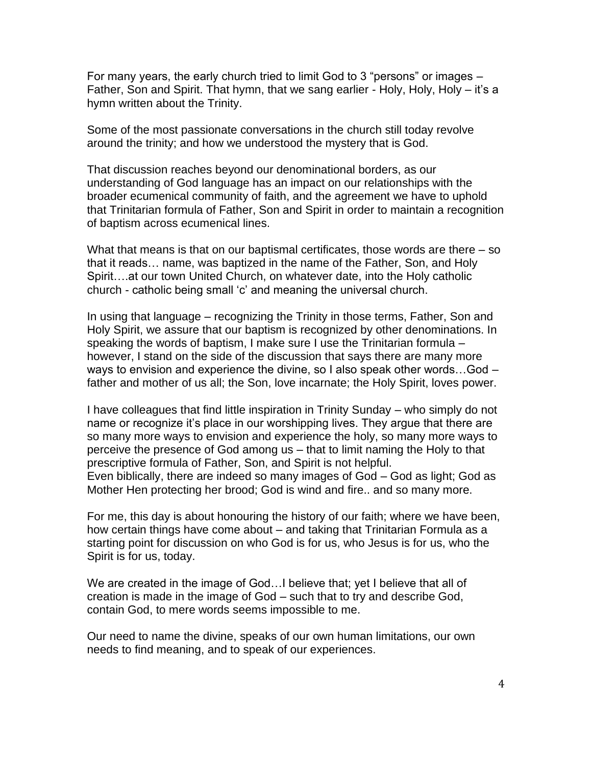For many years, the early church tried to limit God to 3 "persons" or images – Father, Son and Spirit. That hymn, that we sang earlier - Holy, Holy, Holy – it's a hymn written about the Trinity.

Some of the most passionate conversations in the church still today revolve around the trinity; and how we understood the mystery that is God.

That discussion reaches beyond our denominational borders, as our understanding of God language has an impact on our relationships with the broader ecumenical community of faith, and the agreement we have to uphold that Trinitarian formula of Father, Son and Spirit in order to maintain a recognition of baptism across ecumenical lines.

What that means is that on our baptismal certificates, those words are there – so that it reads… name, was baptized in the name of the Father, Son, and Holy Spirit….at our town United Church, on whatever date, into the Holy catholic church - catholic being small 'c' and meaning the universal church.

In using that language – recognizing the Trinity in those terms, Father, Son and Holy Spirit, we assure that our baptism is recognized by other denominations. In speaking the words of baptism, I make sure I use the Trinitarian formula – however, I stand on the side of the discussion that says there are many more ways to envision and experience the divine, so I also speak other words…God – father and mother of us all; the Son, love incarnate; the Holy Spirit, loves power.

I have colleagues that find little inspiration in Trinity Sunday – who simply do not name or recognize it's place in our worshipping lives. They argue that there are so many more ways to envision and experience the holy, so many more ways to perceive the presence of God among us – that to limit naming the Holy to that prescriptive formula of Father, Son, and Spirit is not helpful. Even biblically, there are indeed so many images of God – God as light; God as Mother Hen protecting her brood; God is wind and fire.. and so many more.

For me, this day is about honouring the history of our faith; where we have been, how certain things have come about – and taking that Trinitarian Formula as a starting point for discussion on who God is for us, who Jesus is for us, who the Spirit is for us, today.

We are created in the image of God...I believe that; yet I believe that all of creation is made in the image of God – such that to try and describe God, contain God, to mere words seems impossible to me.

Our need to name the divine, speaks of our own human limitations, our own needs to find meaning, and to speak of our experiences.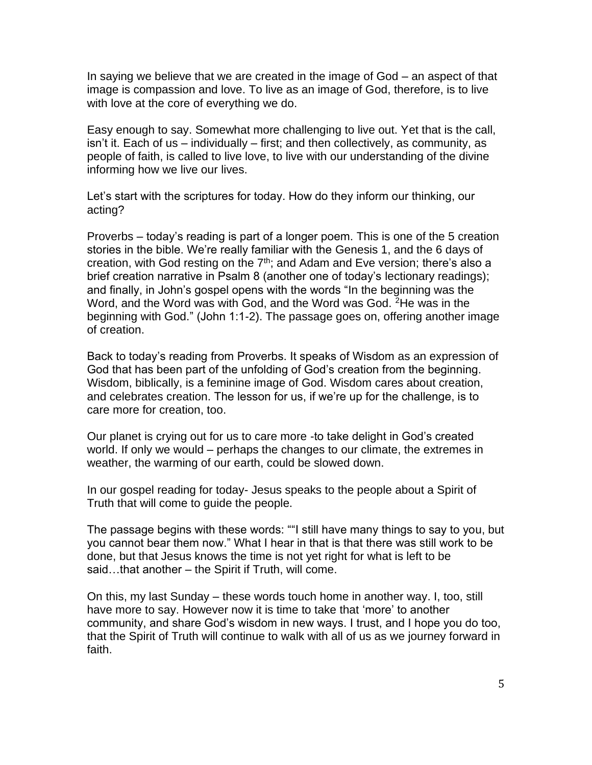In saying we believe that we are created in the image of God – an aspect of that image is compassion and love. To live as an image of God, therefore, is to live with love at the core of everything we do.

Easy enough to say. Somewhat more challenging to live out. Yet that is the call, isn't it. Each of us – individually – first; and then collectively, as community, as people of faith, is called to live love, to live with our understanding of the divine informing how we live our lives.

Let's start with the scriptures for today. How do they inform our thinking, our acting?

Proverbs – today's reading is part of a longer poem. This is one of the 5 creation stories in the bible. We're really familiar with the Genesis 1, and the 6 days of creation, with God resting on the  $7<sup>th</sup>$ ; and Adam and Eve version; there's also a brief creation narrative in Psalm 8 (another one of today's lectionary readings); and finally, in John's gospel opens with the words "In the beginning was the Word, and the Word was with God, and the Word was God. <sup>2</sup>He was in the beginning with God." (John 1:1-2). The passage goes on, offering another image of creation.

Back to today's reading from Proverbs. It speaks of Wisdom as an expression of God that has been part of the unfolding of God's creation from the beginning. Wisdom, biblically, is a feminine image of God. Wisdom cares about creation, and celebrates creation. The lesson for us, if we're up for the challenge, is to care more for creation, too.

Our planet is crying out for us to care more -to take delight in God's created world. If only we would – perhaps the changes to our climate, the extremes in weather, the warming of our earth, could be slowed down.

In our gospel reading for today- Jesus speaks to the people about a Spirit of Truth that will come to guide the people.

The passage begins with these words: ""I still have many things to say to you, but you cannot bear them now." What I hear in that is that there was still work to be done, but that Jesus knows the time is not yet right for what is left to be said...that another – the Spirit if Truth, will come.

On this, my last Sunday – these words touch home in another way. I, too, still have more to say. However now it is time to take that 'more' to another community, and share God's wisdom in new ways. I trust, and I hope you do too, that the Spirit of Truth will continue to walk with all of us as we journey forward in faith.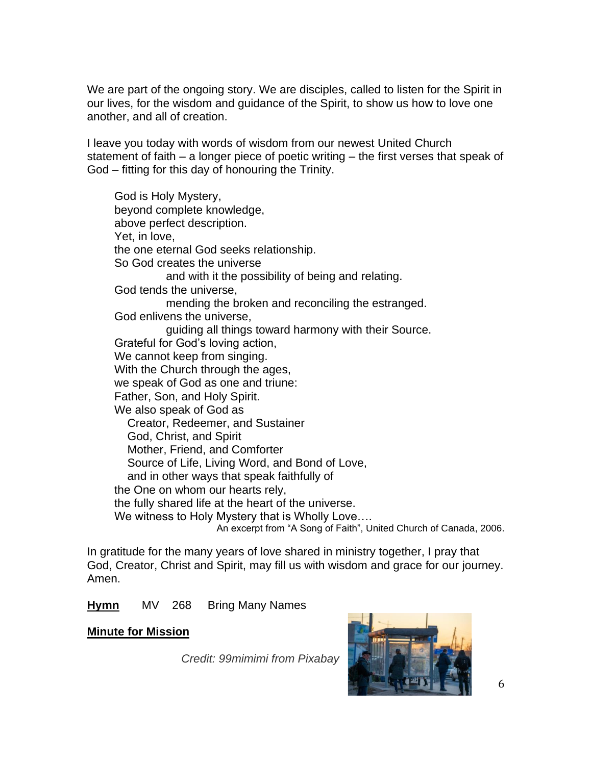We are part of the ongoing story. We are disciples, called to listen for the Spirit in our lives, for the wisdom and guidance of the Spirit, to show us how to love one another, and all of creation.

I leave you today with words of wisdom from our newest United Church statement of faith – a longer piece of poetic writing – the first verses that speak of God – fitting for this day of honouring the Trinity.

God is Holy Mystery, beyond complete knowledge, above perfect description. Yet, in love, the one eternal God seeks relationship. So God creates the universe and with it the possibility of being and relating. God tends the universe, mending the broken and reconciling the estranged. God enlivens the universe, guiding all things toward harmony with their Source. Grateful for God's loving action, We cannot keep from singing. With the Church through the ages, we speak of God as one and triune: Father, Son, and Holy Spirit. We also speak of God as Creator, Redeemer, and Sustainer God, Christ, and Spirit Mother, Friend, and Comforter Source of Life, Living Word, and Bond of Love, and in other ways that speak faithfully of the One on whom our hearts rely, the fully shared life at the heart of the universe. We witness to Holy Mystery that is Wholly Love…. An excerpt from "A Song of Faith", United Church of Canada, 2006.

In gratitude for the many years of love shared in ministry together, I pray that God, Creator, Christ and Spirit, may fill us with wisdom and grace for our journey. Amen.

**Hymn** MV 268 Bring Many Names

#### **Minute for Mission**

*Credit: 99mimimi from Pixabay*

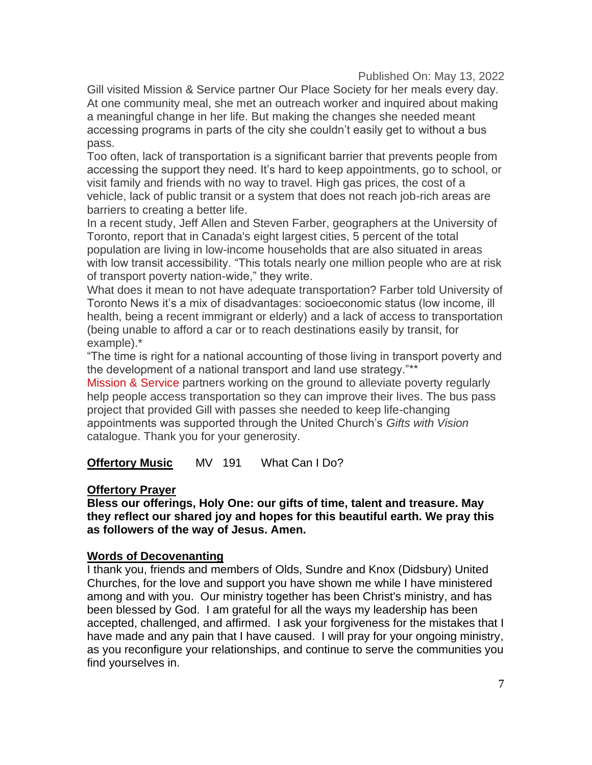Published On: May 13, 2022

Gill visited Mission & Service partner Our Place Society for her meals every day. At one community meal, she met an outreach worker and inquired about making a meaningful change in her life. But making the changes she needed meant accessing programs in parts of the city she couldn't easily get to without a bus pass.

Too often, lack of transportation is a significant barrier that prevents people from accessing the support they need. It's hard to keep appointments, go to school, or visit family and friends with no way to travel. High gas prices, the cost of a vehicle, lack of public transit or a system that does not reach job-rich areas are barriers to creating a better life.

In a recent study, Jeff Allen and Steven Farber, geographers at the University of Toronto, report that in Canada's eight largest cities, 5 percent of the total population are living in low-income households that are also situated in areas with low transit accessibility. "This totals nearly one million people who are at risk of transport poverty nation-wide," they write.

What does it mean to not have adequate transportation? Farber told University of Toronto News it's a mix of disadvantages: socioeconomic status (low income, ill health, being a recent immigrant or elderly) and a lack of access to transportation (being unable to afford a car or to reach destinations easily by transit, for example).\*

"The time is right for a national accounting of those living in transport poverty and the development of a national transport and land use strategy."\*\*

[Mission & Service](https://united-church.ca/donate) partners working on the ground to alleviate poverty regularly help people access transportation so they can improve their lives. The bus pass project that provided Gill with passes she needed to keep life-changing appointments was supported through the United Church's *Gifts with Vision* catalogue. Thank you for your generosity.

**Offertory Music** MV 191 What Can I Do?

#### **Offertory Prayer**

**Bless our offerings, Holy One: our gifts of time, talent and treasure. May they reflect our shared joy and hopes for this beautiful earth. We pray this as followers of the way of Jesus. Amen.** 

#### **Words of Decovenanting**

I thank you, friends and members of Olds, Sundre and Knox (Didsbury) United Churches, for the love and support you have shown me while I have ministered among and with you. Our ministry together has been Christ's ministry, and has been blessed by God. I am grateful for all the ways my leadership has been accepted, challenged, and affirmed. I ask your forgiveness for the mistakes that I have made and any pain that I have caused. I will pray for your ongoing ministry, as you reconfigure your relationships, and continue to serve the communities you find yourselves in.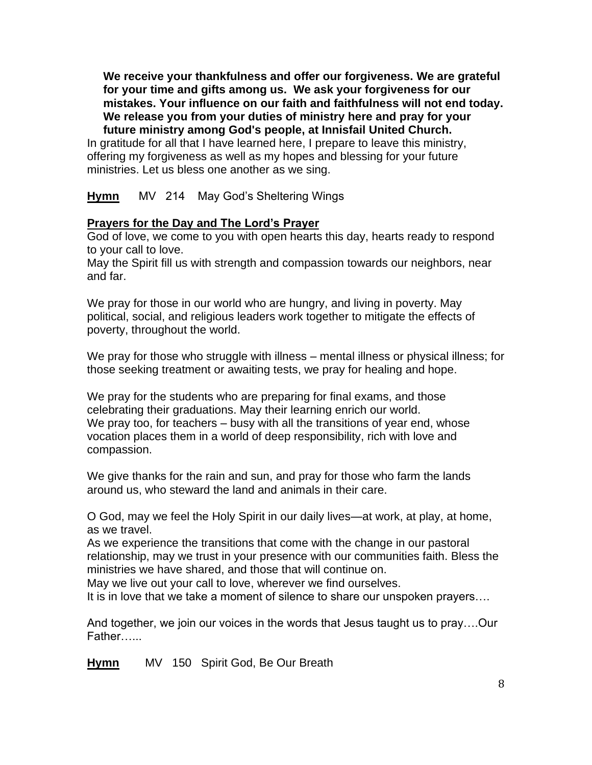**We receive your thankfulness and offer our forgiveness. We are grateful for your time and gifts among us. We ask your forgiveness for our mistakes. Your influence on our faith and faithfulness will not end today. We release you from your duties of ministry here and pray for your** 

 **future ministry among God's people, at Innisfail United Church.**  In gratitude for all that I have learned here, I prepare to leave this ministry, offering my forgiveness as well as my hopes and blessing for your future ministries. Let us bless one another as we sing.

**Hymn** MV 214 May God's Sheltering Wings

## **Prayers for the Day and The Lord's Prayer**

God of love, we come to you with open hearts this day, hearts ready to respond to your call to love.

May the Spirit fill us with strength and compassion towards our neighbors, near and far.

We pray for those in our world who are hungry, and living in poverty. May political, social, and religious leaders work together to mitigate the effects of poverty, throughout the world.

We pray for those who struggle with illness – mental illness or physical illness; for those seeking treatment or awaiting tests, we pray for healing and hope.

We pray for the students who are preparing for final exams, and those celebrating their graduations. May their learning enrich our world. We pray too, for teachers – busy with all the transitions of year end, whose vocation places them in a world of deep responsibility, rich with love and compassion.

We give thanks for the rain and sun, and pray for those who farm the lands around us, who steward the land and animals in their care.

O God, may we feel the Holy Spirit in our daily lives—at work, at play, at home, as we travel.

As we experience the transitions that come with the change in our pastoral relationship, may we trust in your presence with our communities faith. Bless the ministries we have shared, and those that will continue on.

May we live out your call to love, wherever we find ourselves.

It is in love that we take a moment of silence to share our unspoken prayers….

And together, we join our voices in the words that Jesus taught us to pray….Our Father…...

**Hymn** MV 150 Spirit God, Be Our Breath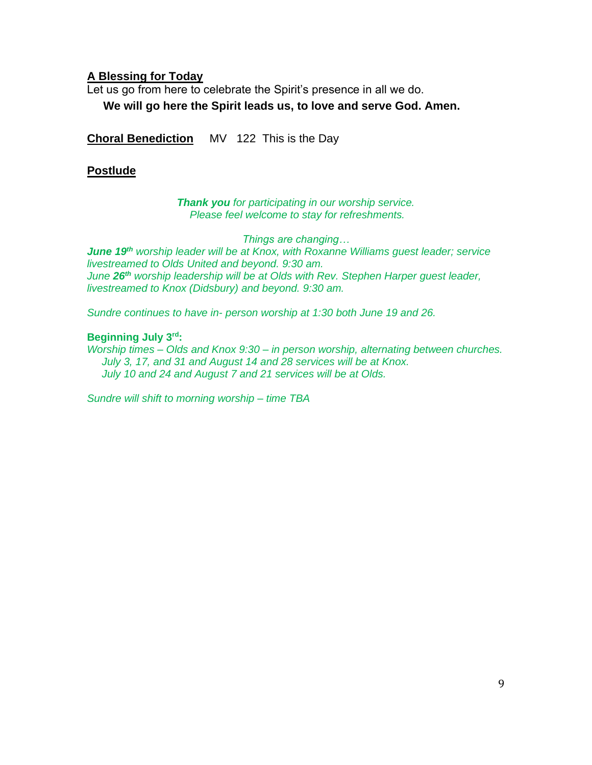#### **A Blessing for Today**

Let us go from here to celebrate the Spirit's presence in all we do. **We will go here the Spirit leads us, to love and serve God. Amen.** 

**Choral Benediction** MV 122 This is the Day

#### **Postlude**

#### *Thank you for participating in our worship service. Please feel welcome to stay for refreshments.*

*Things are changing… June 19th worship leader will be at Knox, with Roxanne Williams guest leader; service livestreamed to Olds United and beyond. 9:30 am. June 26th worship leadership will be at Olds with Rev. Stephen Harper guest leader, livestreamed to Knox (Didsbury) and beyond. 9:30 am.*

*Sundre continues to have in- person worship at 1:30 both June 19 and 26.* 

#### **Beginning July 3rd:**

*Worship times – Olds and Knox 9:30 – in person worship, alternating between churches. July 3, 17, and 31 and August 14 and 28 services will be at Knox. July 10 and 24 and August 7 and 21 services will be at Olds.* 

*Sundre will shift to morning worship – time TBA*